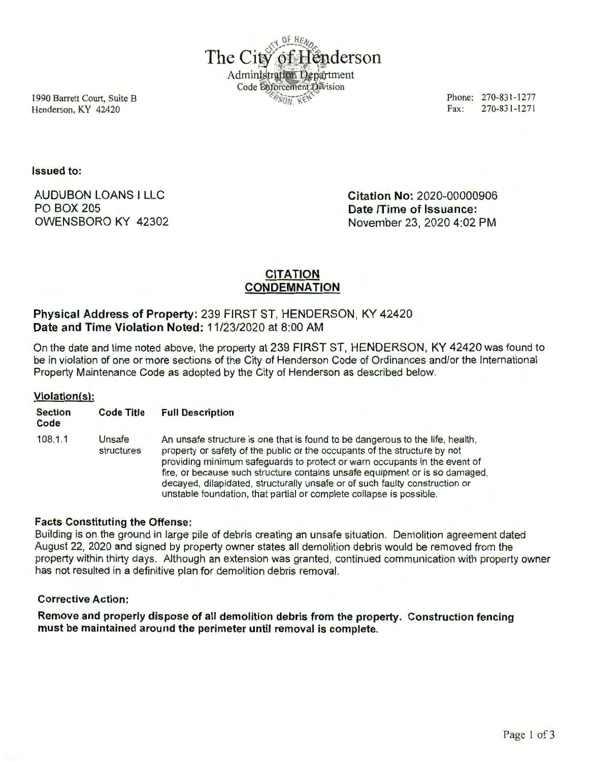

1990 Barrett Court, Suite B Henderson, KY 42420

Phone: 270-831-1277<br>Fax: 270-831-1271 Fax: 270-831-1271

Issued to:

AUDUBON LOANS I LLC PO BOX 205 OWENSBORO KY 42302 Citation No: 2020-00000906 Date /Time of Issuance: November 23, 2020 4:02 PM

# CITATION **CONDEMNATION**

# Physical Address of Property: 239 FIRST ST, HENDERSON, KY 42420 Date and Time Violation Noted: 11/23/2020 at 8:00 AM

On the date and time noted above, the property at 239 FIRST ST, HENDERSON, KY 42420 was found to be in violation of one or more sections of the City of Henderson Code of Ordinances and/or the International Property Maintenance Code as adopted by the City of Henderson as described below.

## Violation(s):

| <b>Section</b><br>Code | <b>Code Title</b>    | <b>Full Description</b>                                                                                                                                                                                                                                                                                                                                                                                                                                                      |
|------------------------|----------------------|------------------------------------------------------------------------------------------------------------------------------------------------------------------------------------------------------------------------------------------------------------------------------------------------------------------------------------------------------------------------------------------------------------------------------------------------------------------------------|
| 108.1.1                | Unsafe<br>structures | An unsafe structure is one that is found to be dangerous to the life, health,<br>property or safety of the public or the occupants of the structure by not<br>providing minimum safeguards to protect or warn occupants in the event of<br>fire, or because such structure contains unsafe equipment or is so damaged,<br>decayed, dilapidated, structurally unsafe or of such faulty construction or<br>unstable foundation, that partial or complete collapse is possible. |

# Facts Constituting the Offense:

Building is on the ground in large pile of debris creating an unsafe situation. Demolition agreement dated August 22, 2020 and signed by property owner states all demolition debris would be removed from the property within thirty days. Although an extension was granted, continued communication with property owner has not resulted in a definitive plan for demolition debris removal.

## Corrective Action:

Remove and properly dispose of all demolition debris from the property. Construction fencing must be maintained around the perimeter until removal is complete.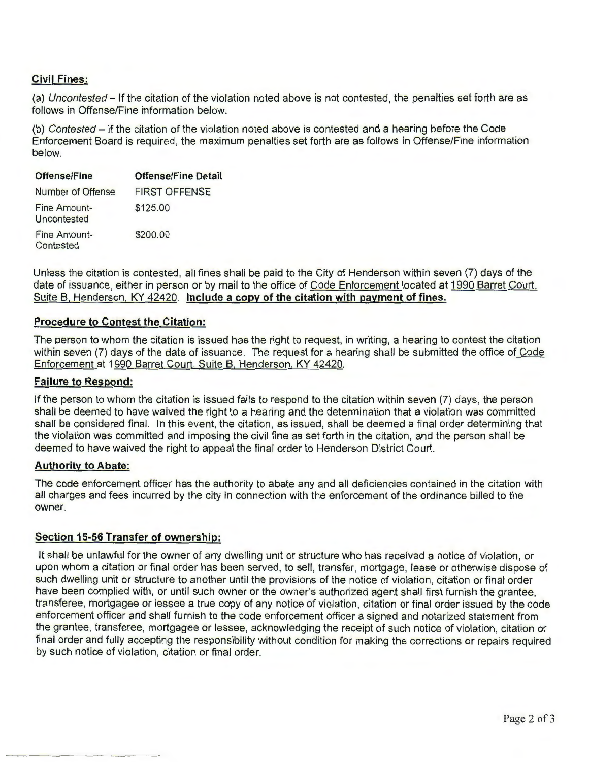# **Civil Fines:**

(a) Uncontested - If the citation of the violation noted above is not contested, the penalties set forth are as follows in Offense/Fine information below.

(b) Contested- If the citation of the violation noted above is contested and a hearing before the Code Enforcement Board is required , the maximum penalties set forth are as follows in Offense/Fine information below.

| Offense/Fine                | <b>Offense/Fine Detail</b> |
|-----------------------------|----------------------------|
| Number of Offense           | <b>FIRST OFFENSE</b>       |
| Fine Amount-<br>Uncontested | \$125.00                   |
| Fine Amount-<br>Contested   | \$200.00                   |

Unless the citation is contested, all fines shall be paid to the City of Henderson within seven (7) days of the date of issuance, either in person or by mail to the office of Code Enforcement located at 1990 Barret Court, Suite B, Henderson, KY 42420. **Include a copy of the citation with payment of fines.** 

## **Procedure to Contest the Citation:**

The person to whom the citation is issued has the right to request, in writing, a hearing to contest the citation within seven (7) days of the date of issuance. The request for a hearing shall be submitted the office of Code Enforcement at 1990 Barret Court, Suite B, Henderson, KY 42420.

#### **Failure to Respond:**

If the person to whom the citation is issued fails to respond to the citation within seven (7) days, the person shall be deemed to have waived the right to a hearing and the determination that a violation was committed shall be considered final. In this event, the citation, as issued, shall be deemed a final order determining that the violation was committed and imposing the civil fine as set forth in the citation, and the person shall be deemed to have waived the right to appeal the final order to Henderson District Court.

#### **Authority to Abate:**

The code enforcement officer has the authority to abate any and all deficiencies contained in the citation with all charges and fees incurred by the city in connection with the enforcement of the ordinance billed to the owner.

## **Section 15-56 Transfer of ownership:**

It shall be unlawful for the owner of any dwelling unit or structure who has received a notice of violation, or upon whom a citation or final order has been served, to sell, transfer, mortgage, lease or otherwise dispose of such dwelling unit or structure to another until the provisions of the notice of violation, citation or final order have been complied with, or until such owner or the owner's authorized agent shall first furnish the grantee, transferee, mortgagee or lessee a true copy of any notice of violation, citation or final order issued by the code enforcement officer and shall furnish to the code enforcement officer a signed and notarized statement from the grantee, transferee, mortgagee or lessee, acknowledging the receipt of such notice of violation, citation or final order and fully accepting the responsibility without condition for making the corrections or repairs required by such notice of violation, citation or final order.